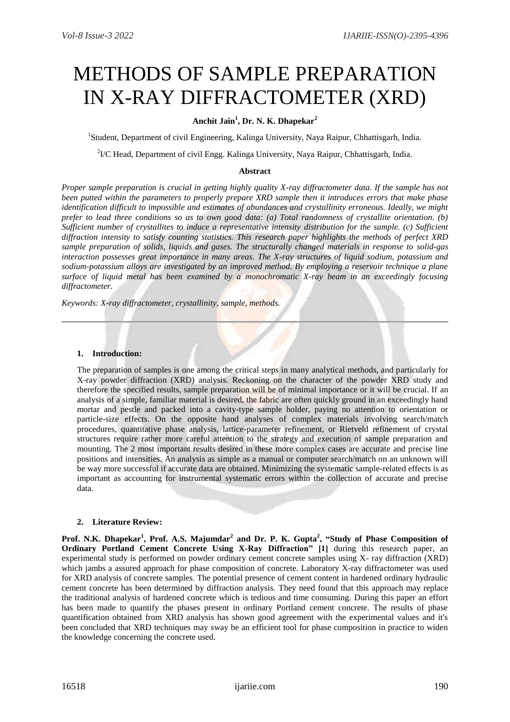# METHODS OF SAMPLE PREPARATION IN X-RAY DIFFRACTOMETER (XRD)

# **Anchit Jain<sup>1</sup> , Dr. N. K. Dhapekar<sup>2</sup>**

<sup>1</sup>Student, Department of civil Engineering, Kalinga University, Naya Raipur, Chhattisgarh, India.

<sup>2</sup>I/C Head, Department of civil Engg. Kalinga University, Naya Raipur, Chhattisgarh, India.

#### **Abstract**

*Proper sample preparation is crucial in getting highly quality X-ray diffractometer data. If the sample has not been putted within the parameters to properly prepare XRD sample then it introduces errors that make phase identification difficult to impossible and estimates of abundances and crystallinity erroneous. Ideally, we might prefer to lead three conditions so as to own good data: (a) Total randomness of crystallite orientation. (b) Sufficient number of crystallites to induce a representative intensity distribution for the sample. (c) Sufficient diffraction intensity to satisfy counting statistics. This research paper highlights the methods of perfect XRD sample preparation of solids, liquids and gases. The structurally changed materials in response to solid-gas interaction possesses great importance in many areas. The X-ray structures of liquid sodium, potassium and sodium-potassium alloys are investigated by an improved method. By employing a reservoir technique a plane surface of liquid metal has been examined by a monochromatic X-ray beam in an exceedingly focusing diffractometer.*

*Keywords: X-ray diffractometer, crystallinity, sample, methods.*

#### **1. Introduction:**

The preparation of samples is one among the critical steps in many analytical methods, and particularly for X-ray powder diffraction (XRD) analysis. Reckoning on the character of the powder XRD study and therefore the specified results, sample preparation will be of minimal importance or it will be crucial. If an analysis of a simple, familiar material is desired, the fabric are often quickly ground in an exceedingly hand mortar and pestle and packed into a cavity-type sample holder, paying no attention to orientation or particle-size effects. On the opposite hand analyses of complex materials involving search/match procedures, quantitative phase analysis, lattice-parameter refinement, or Rietveld refinement of crystal structures require rather more careful attention to the strategy and execution of sample preparation and mounting. The 2 most important results desired in these more complex cases are accurate and precise line positions and intensities. An analysis as simple as a manual or computer search/match on an unknown will be way more successful if accurate data are obtained. Minimizing the systematic sample-related effects is as important as accounting for instrumental systematic errors within the collection of accurate and precise data.

### **2. Literature Review:**

**Prof. N.K. Dhapekar<sup>1</sup> , Prof. A.S. Majumdar<sup>2</sup> and Dr. P. K. Gupta<sup>2</sup> , "Study of Phase Composition of Ordinary Portland Cement Concrete Using X-Ray Diffraction" [1] during this research paper, an** experimental study is performed on powder ordinary cement concrete samples using X- ray diffraction (XRD) which jambs a assured approach for phase composition of concrete. Laboratory X-ray diffractometer was used for XRD analysis of concrete samples. The potential presence of cement content in hardened ordinary hydraulic cement concrete has been determined by diffraction analysis. They need found that this approach may replace the traditional analysis of hardened concrete which is tedious and time consuming. During this paper an effort has been made to quantify the phases present in ordinary Portland cement concrete. The results of phase quantification obtained from XRD analysis has shown good agreement with the experimental values and it's been concluded that XRD techniques may sway be an efficient tool for phase composition in practice to widen the knowledge concerning the concrete used.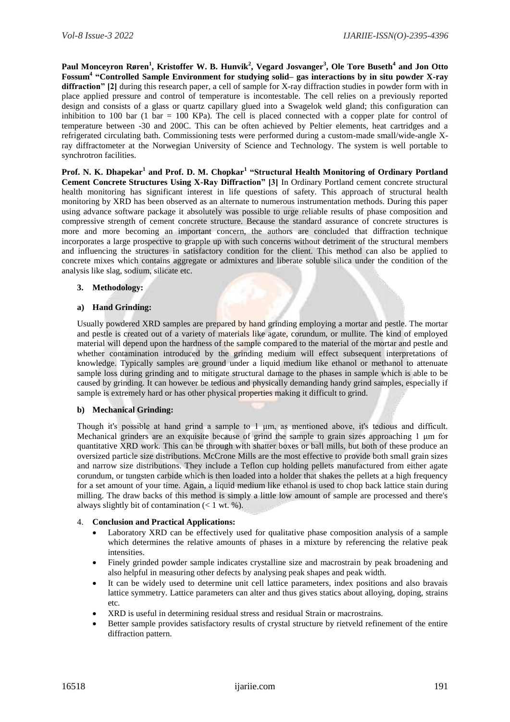**Paul Monceyron Røren<sup>1</sup> , Kristoffer W. B. Hunvik<sup>2</sup> , Vegard Josvanger<sup>3</sup> , Ole Tore Buseth<sup>4</sup> and Jon Otto Fossum<sup>4</sup> "Controlled Sample Environment for studying solid– gas interactions by in situ powder X-ray diffraction" [2]** during this research paper, a cell of sample for X-ray diffraction studies in powder form with in place applied pressure and control of temperature is incontestable. The cell relies on a previously reported design and consists of a glass or quartz capillary glued into a Swagelok weld gland; this configuration can inhibition to 100 bar (1 bar = 100 KPa). The cell is placed connected with a copper plate for control of temperature between -30 and 200C. This can be often achieved by Peltier elements, heat cartridges and a refrigerated circulating bath. Commissioning tests were performed during a custom-made small/wide-angle Xray diffractometer at the Norwegian University of Science and Technology. The system is well portable to synchrotron facilities.

**Prof. N. K. Dhapekar<sup>1</sup> and Prof. D. M. Chopkar<sup>1</sup> "Structural Health Monitoring of Ordinary Portland Cement Concrete Structures Using X-Ray Diffraction" [3]** In Ordinary Portland cement concrete structural health monitoring has significant interest in life questions of safety. This approach of structural health monitoring by XRD has been observed as an alternate to numerous instrumentation methods. During this paper using advance software package it absolutely was possible to urge reliable results of phase composition and compressive strength of cement concrete structure. Because the standard assurance of concrete structures is more and more becoming an important concern, the authors are concluded that diffraction technique incorporates a large prospective to grapple up with such concerns without detriment of the structural members and influencing the structures in satisfactory condition for the client. This method can also be applied to concrete mixes which contains aggregate or admixtures and liberate soluble silica under the condition of the analysis like slag, sodium, silicate etc.

### **3. Methodology:**

### **a) Hand Grinding:**

Usually powdered XRD samples are prepared by hand grinding employing a mortar and pestle. The mortar and pestle is created out of a variety of materials like agate, corundum, or mullite. The kind of employed material will depend upon the hardness of the sample compared to the material of the mortar and pestle and whether contamination introduced by the grinding medium will effect subsequent interpretations of knowledge. Typically samples are ground under a liquid medium like ethanol or methanol to attenuate sample loss during grinding and to mitigate structural damage to the phases in sample which is able to be caused by grinding. It can however be tedious and physically demanding handy grind samples, especially if sample is extremely hard or has other physical properties making it difficult to grind.

### **b) Mechanical Grinding:**

Though it's possible at hand grind a sample to 1 μm, as mentioned above, it's tedious and difficult. Mechanical grinders are an exquisite because of grind the sample to grain sizes approaching 1 μm for quantitative XRD work. This can be through with shatter boxes or ball mills, but both of these produce an oversized particle size distributions. McCrone Mills are the most effective to provide both small grain sizes and narrow size distributions. They include a Teflon cup holding pellets manufactured from either agate corundum, or tungsten carbide which is then loaded into a holder that shakes the pellets at a high frequency for a set amount of your time. Again, a liquid medium like ethanol is used to chop back lattice stain during milling. The draw backs of this method is simply a little low amount of sample are processed and there's always slightly bit of contamination  $(< 1$  wt. %).

### 4. **Conclusion and Practical Applications:**

- Laboratory XRD can be effectively used for qualitative phase composition analysis of a sample which determines the relative amounts of phases in a mixture by referencing the relative peak intensities.
- Finely grinded powder sample indicates crystalline size and macrostrain by peak broadening and also helpful in measuring other defects by analysing peak shapes and peak width.
- It can be widely used to determine unit cell lattice parameters, index positions and also bravais lattice symmetry. Lattice parameters can alter and thus gives statics about alloying, doping, strains etc.
- XRD is useful in determining residual stress and residual Strain or macrostrains.
- Better sample provides satisfactory results of crystal structure by rietveld refinement of the entire diffraction pattern.